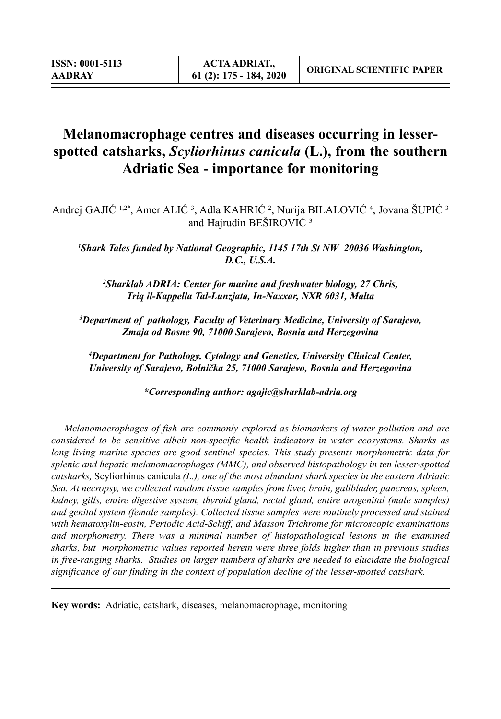# **Melanomacrophage centres and diseases occurring in lesserspotted catsharks,** *Scyliorhinus canicula* **(L.), from the southern Adriatic Sea - importance for monitoring**

Andrej GAJIĆ 1,2\*, Amer ALIĆ 3, Adla KAHRIĆ 2, Nurija BILALOVIĆ 4, Jovana ŠUPIĆ 3 and Hajrudin BEŠIROVIĆ <sup>3</sup>

<sup>1</sup> Shark Tales funded by National Geographic, 1145 17th St NW 20036 Washington, *D.C., U.S.A.*

*2 Sharklab ADRIA: Center for marine and freshwater biology, 27 Chris, Triq il-Kappella Tal-Lunzjata, In-Naxxar, NXR 6031, Malta*

*3 Department of pathology, Faculty of Veterinary Medicine, University of Sarajevo, Zmaja od Bosne 90, 71000 Sarajevo, Bosnia and Herzegovina*

*4 Department for Pathology, Cytology and Genetics, University Clinical Center, University of Sarajevo, Bolnička 25, 71000 Sarajevo, Bosnia and Herzegovina*

*\*Corresponding author: agajic@sharklab-adria.org* 

*Melanomacrophages of fish are commonly explored as biomarkers of water pollution and are considered to be sensitive albeit non-specific health indicators in water ecosystems. Sharks as long living marine species are good sentinel species. This study presents morphometric data for splenic and hepatic melanomacrophages (MMC), and observed histopathology in ten lesser-spotted catsharks,* Scyliorhinus canicula *(L.), one of the most abundant shark species in the eastern Adriatic Sea. At necropsy, we collected random tissue samples from liver, brain, gallblader, pancreas, spleen, kidney, gills, entire digestive system, thyroid gland, rectal gland, entire urogenital (male samples) and genital system (female samples). Collected tissue samples were routinely processed and stained with hematoxylin-eosin, Periodic Acid-Schiff, and Masson Trichrome for microscopic examinations and morphometry. There was a minimal number of histopathological lesions in the examined sharks, but morphometric values reported herein were three folds higher than in previous studies in free-ranging sharks. Studies on larger numbers of sharks are needed to elucidate the biological significance of our finding in the context of population decline of the lesser-spotted catshark.*

**Key words:** Adriatic, catshark, diseases, melanomacrophage, monitoring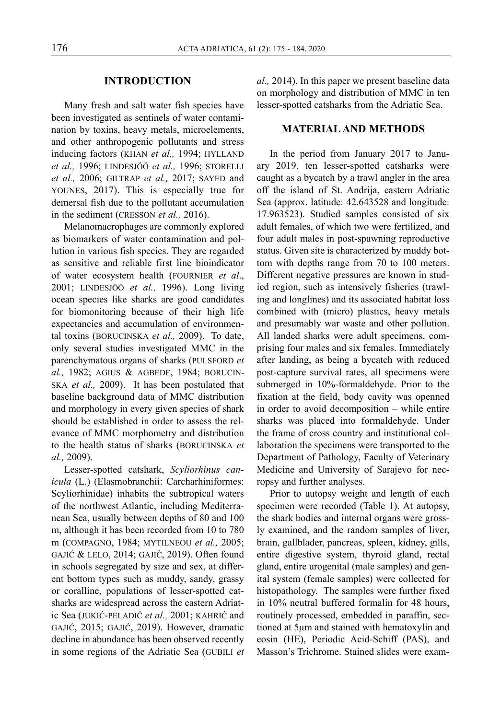#### **INTRODUCTION**

Many fresh and salt water fish species have been investigated as sentinels of water contamination by toxins, heavy metals, microelements, and other anthropogenic pollutants and stress inducing factors (KHAN *et al.,* 1994; HYLLAND *et al.,* 1996; LINDESJÖÖ *et al.,* 1996; STORELLI *et al.,* 2006; GILTRAP *et al.,* 2017; SAYED and YOUNES, 2017). This is especially true for demersal fish due to the pollutant accumulation in the sediment (CRESSON *et al.,* 2016).

Melanomacrophages are commonly explored as biomarkers of water contamination and pollution in various fish species. They are regarded as sensitive and reliable first line bioindicator of water ecosystem health (FOURNIER *et al*., 2001; LINDESJÖÖ *et al.,* 1996). Long living ocean species like sharks are good candidates for biomonitoring because of their high life expectancies and accumulation of environmental toxins (BORUCINSKA *et al.,* 2009). To date, only several studies investigated MMC in the parenchymatous organs of sharks (PULSFORD *et al.,* 1982; AGIUS & AGBEDE, 1984; BORUCIN-SKA *et al.,* 2009). It has been postulated that baseline background data of MMC distribution and morphology in every given species of shark should be established in order to assess the relevance of MMC morphometry and distribution to the health status of sharks (BORUCINSKA *et al.,* 2009).

Lesser-spotted catshark, *Scyliorhinus canicula* (L.) (Elasmobranchii: Carcharhiniformes: Scyliorhinidae) inhabits the subtropical waters of the northwest Atlantic, including Mediterranean Sea, usually between depths of 80 and 100 m, although it has been recorded from 10 to 780 m (COMPAGNO, 1984; MYTILNEOU *et al.,* 2005; GAJIĆ & LELO, 2014; GAJIĆ, 2019). Often found in schools segregated by size and sex, at different bottom types such as muddy, sandy, grassy or coralline, populations of lesser-spotted catsharks are widespread across the eastern Adriatic Sea (JUKIĆ-PELADIĆ *et al.,* 2001; KAHRIĆ and GAJIĆ, 2015; GAJIĆ, 2019). However, dramatic decline in abundance has been observed recently in some regions of the Adriatic Sea (GUBILI *et*  *al.,* 2014). In this paper we present baseline data on morphology and distribution of MMC in ten lesser-spotted catsharks from the Adriatic Sea.

#### **MATERIAL AND METHODS**

In the period from January 2017 to January 2019, ten lesser-spotted catsharks were caught as a bycatch by a trawl angler in the area off the island of St. Andrija, eastern Adriatic Sea (approx. latitude: 42.643528 and longitude: 17.963523). Studied samples consisted of six adult females, of which two were fertilized, and four adult males in post-spawning reproductive status. Given site is characterized by muddy bottom with depths range from 70 to 100 meters. Different negative pressures are known in studied region, such as intensively fisheries (trawling and longlines) and its associated habitat loss combined with (micro) plastics, heavy metals and presumably war waste and other pollution. All landed sharks were adult specimens, comprising four males and six females. Immediately after landing, as being a bycatch with reduced post-capture survival rates, all specimens were submerged in 10%-formaldehyde. Prior to the fixation at the field, body cavity was openned in order to avoid decomposition – while entire sharks was placed into formaldehyde. Under the frame of cross country and institutional collaboration the specimens were transported to the Department of Pathology, Faculty of Veterinary Medicine and University of Sarajevo for necropsy and further analyses.

Prior to autopsy weight and length of each specimen were recorded (Table 1). At autopsy, the shark bodies and internal organs were grossly examined, and the random samples of liver, brain, gallblader, pancreas, spleen, kidney, gills, entire digestive system, thyroid gland, rectal gland, entire urogenital (male samples) and genital system (female samples) were collected for histopathology. The samples were further fixed in 10% neutral buffered formalin for 48 hours, routinely processed, embedded in paraffin, sectioned at 5μm and stained with hematoxylin and eosin (HE), Periodic Acid-Schiff (PAS), and Masson's Trichrome. Stained slides were exam-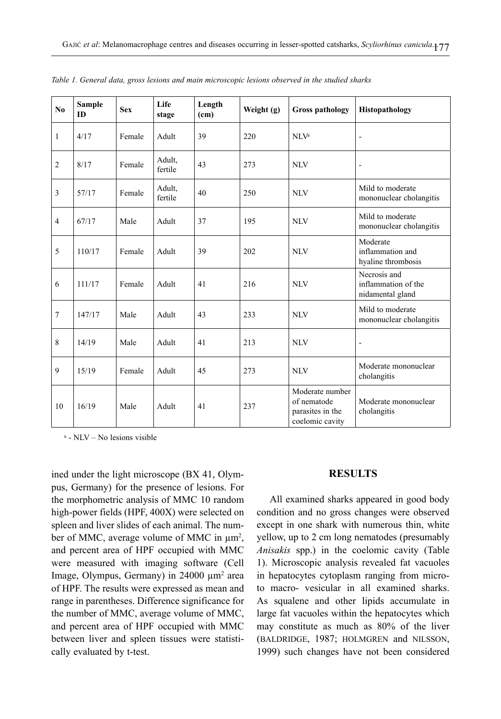| $\mathbf{N}\mathbf{0}$ | <b>Sample</b><br>ID | <b>Sex</b> | Life<br>stage     | Length<br>(cm) | Weight $(g)$ | <b>Gross pathology</b>                                                | Histopathology                                          |
|------------------------|---------------------|------------|-------------------|----------------|--------------|-----------------------------------------------------------------------|---------------------------------------------------------|
| $\mathbf{1}$           | 4/17                | Female     | Adult             | 39             | 220          | NLV <sup>a</sup>                                                      | $\overline{\phantom{a}}$                                |
| $\overline{2}$         | 8/17                | Female     | Adult,<br>fertile | 43             | 273          | <b>NLV</b>                                                            | ÷                                                       |
| $\mathfrak{Z}$         | 57/17               | Female     | Adult,<br>fertile | 40             | 250          | <b>NLV</b>                                                            | Mild to moderate<br>mononuclear cholangitis             |
| $\overline{4}$         | 67/17               | Male       | Adult             | 37             | 195          | <b>NLV</b>                                                            | Mild to moderate<br>mononuclear cholangitis             |
| 5                      | 110/17              | Female     | Adult             | 39             | 202          | N <sub>1</sub>                                                        | Moderate<br>inflammation and<br>hyaline thrombosis      |
| 6                      | 111/17              | Female     | Adult             | 41             | 216          | <b>NLV</b>                                                            | Necrosis and<br>inflammation of the<br>nidamental gland |
| $\boldsymbol{7}$       | 147/17              | Male       | Adult             | 43             | 233          | N <sub>1</sub>                                                        | Mild to moderate<br>mononuclear cholangitis             |
| $\,8\,$                | 14/19               | Male       | Adult             | 41             | 213          | <b>NLV</b>                                                            | $\overline{a}$                                          |
| 9                      | 15/19               | Female     | Adult             | 45             | 273          | <b>NLV</b>                                                            | Moderate mononuclear<br>cholangitis                     |
| 10                     | 16/19               | Male       | Adult             | 41             | 237          | Moderate number<br>of nematode<br>parasites in the<br>coelomic cavity | Moderate mononuclear<br>cholangitis                     |

*Table 1. General data, gross lesions and main microscopic lesions observed in the studied sharks*

<sup>a</sup> - NLV – No lesions visible

ined under the light microscope (BX 41, Olympus, Germany) for the presence of lesions. For the morphometric analysis of MMC 10 random high-power fields (HPF, 400X) were selected on spleen and liver slides of each animal. The number of MMC, average volume of MMC in  $\mu$ m<sup>2</sup>, and percent area of HPF occupied with MMC were measured with imaging software (Cell Image, Olympus, Germany) in 24000 μm<sup>2</sup> area of HPF. The results were expressed as mean and range in parentheses. Difference significance for the number of MMC, average volume of MMC, and percent area of HPF occupied with MMC between liver and spleen tissues were statistically evaluated by t-test.

#### **RESULTS**

All examined sharks appeared in good body condition and no gross changes were observed except in one shark with numerous thin, white yellow, up to 2 cm long nematodes (presumably *Anisakis* spp.) in the coelomic cavity (Table 1). Microscopic analysis revealed fat vacuoles in hepatocytes cytoplasm ranging from microto macro- vesicular in all examined sharks. As squalene and other lipids accumulate in large fat vacuoles within the hepatocytes which may constitute as much as 80% of the liver (BALDRIDGE, 1987; HOLMGREN and NILSSON, 1999) such changes have not been considered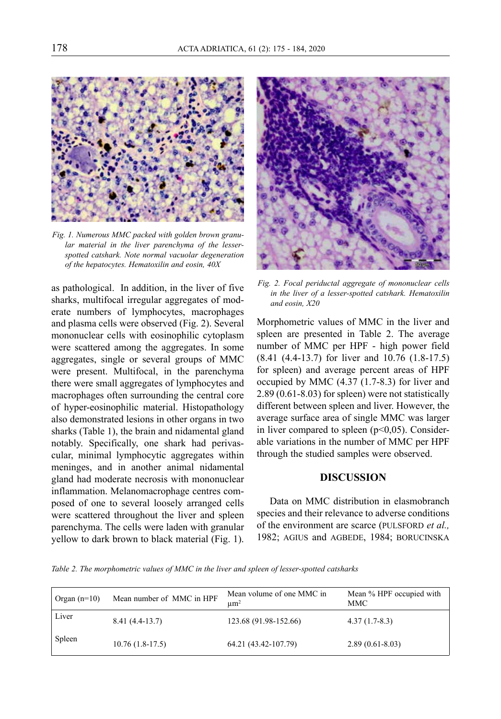

*Fig. 1. Numerous MMC packed with golden brown granular material in the liver parenchyma of the lesserspotted catshark. Note normal vacuolar degeneration of the hepatocytes. Hematoxilin and eosin, 40X*

as pathological. In addition, in the liver of five sharks, multifocal irregular aggregates of moderate numbers of lymphocytes, macrophages and plasma cells were observed (Fig. 2). Several mononuclear cells with eosinophilic cytoplasm were scattered among the aggregates. In some aggregates, single or several groups of MMC were present. Multifocal, in the parenchyma there were small aggregates of lymphocytes and macrophages often surrounding the central core of hyper-eosinophilic material. Histopathology also demonstrated lesions in other organs in two sharks (Table 1), the brain and nidamental gland notably. Specifically, one shark had perivascular, minimal lymphocytic aggregates within meninges, and in another animal nidamental gland had moderate necrosis with mononuclear inflammation. Melanomacrophage centres composed of one to several loosely arranged cells were scattered throughout the liver and spleen parenchyma. The cells were laden with granular yellow to dark brown to black material (Fig. 1).



*Fig. 2. Focal periductal aggregate of mononuclear cells in the liver of a lesser-spotted catshark. Hematoxilin and eosin, X20*

Morphometric values of MMC in the liver and spleen are presented in Table 2. The average number of MMC per HPF - high power field (8.41 (4.4-13.7) for liver and 10.76 (1.8-17.5) for spleen) and average percent areas of HPF occupied by MMC (4.37 (1.7-8.3) for liver and 2.89 (0.61-8.03) for spleen) were not statistically different between spleen and liver. However, the average surface area of single MMC was larger in liver compared to spleen  $(p<0.05)$ . Considerable variations in the number of MMC per HPF through the studied samples were observed.

### **DISCUSSION**

Data on MMC distribution in elasmobranch species and their relevance to adverse conditions of the environment are scarce (PULSFORD *et al.,* 1982; AGIUS and AGBEDE, 1984; BORUCINSKA

*Table 2. The morphometric values of MMC in the liver and spleen of lesser-spotted catsharks*

| Organ $(n=10)$ | Mean number of MMC in HPF | Mean volume of one MMC in<br>um <sup>2</sup> | Mean % HPF occupied with<br><b>MMC</b> |
|----------------|---------------------------|----------------------------------------------|----------------------------------------|
| Liver          | $8.41(4.4-13.7)$          | 123.68 (91.98-152.66)                        | $4.37(1.7-8.3)$                        |
| Spleen         | $10.76(1.8-17.5)$         | 64.21 (43.42-107.79)                         | $2.89(0.61 - 8.03)$                    |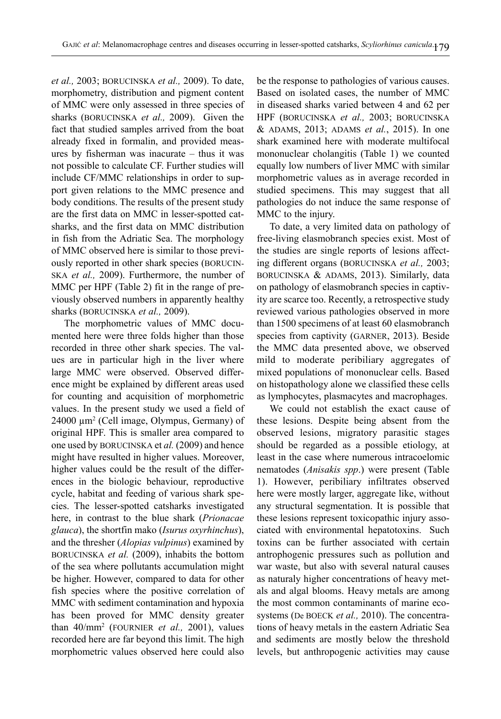*et al.,* 2003; BORUCINSKA *et al.,* 2009). To date, morphometry, distribution and pigment content of MMC were only assessed in three species of sharks (BORUCINSKA *et al.,* 2009). Given the fact that studied samples arrived from the boat already fixed in formalin, and provided measures by fisherman was inacurate – thus it was not possible to calculate CF. Further studies will include CF/MMC relationships in order to support given relations to the MMC presence and body conditions. The results of the present study are the first data on MMC in lesser-spotted catsharks, and the first data on MMC distribution in fish from the Adriatic Sea. The morphology of MMC observed here is similar to those previously reported in other shark species (BORUCIN-SKA *et al.,* 2009). Furthermore, the number of MMC per HPF (Table 2) fit in the range of previously observed numbers in apparently healthy sharks (BORUCINSKA *et al.,* 2009).

The morphometric values of MMC documented here were three folds higher than those recorded in three other shark species. The values are in particular high in the liver where large MMC were observed. Observed difference might be explained by different areas used for counting and acquisition of morphometric values. In the present study we used a field of 24000 µm2 (Cell image, Olympus, Germany) of original HPF. This is smaller area compared to one used by BORUCINSKA et *al.* (2009) and hence might have resulted in higher values. Moreover, higher values could be the result of the differences in the biologic behaviour, reproductive cycle, habitat and feeding of various shark species. The lesser-spotted catsharks investigated here, in contrast to the blue shark (*Prionacae glauca*), the shortfin mako (*Isurus oxyrhinchus*), and the thresher (*Alopias vulpinus*) examined by BORUCINSKA *et al.* (2009), inhabits the bottom of the sea where pollutants accumulation might be higher. However, compared to data for other fish species where the positive correlation of MMC with sediment contamination and hypoxia has been proved for MMC density greater than 40/mm2 (FOURNIER *et al.,* 2001), values recorded here are far beyond this limit. The high morphometric values observed here could also

be the response to pathologies of various causes. Based on isolated cases, the number of MMC in diseased sharks varied between 4 and 62 per HPF (BORUCINSKA *et al.,* 2003; BORUCINSKA & ADAMS, 2013; ADAMS *et al.*, 2015). In one shark examined here with moderate multifocal mononuclear cholangitis (Table 1) we counted equally low numbers of liver MMC with similar morphometric values as in average recorded in studied specimens. This may suggest that all pathologies do not induce the same response of MMC to the injury.

To date, a very limited data on pathology of free-living elasmobranch species exist. Most of the studies are single reports of lesions affecting different organs (BORUCINSKA *et al.,* 2003; BORUCINSKA & ADAMS, 2013). Similarly, data on pathology of elasmobranch species in captivity are scarce too. Recently, a retrospective study reviewed various pathologies observed in more than 1500 specimens of at least 60 elasmobranch species from captivity (GARNER, 2013). Beside the MMC data presented above, we observed mild to moderate peribiliary aggregates of mixed populations of mononuclear cells. Based on histopathology alone we classified these cells as lymphocytes, plasmacytes and macrophages.

We could not establish the exact cause of these lesions. Despite being absent from the observed lesions, migratory parasitic stages should be regarded as a possible etiology, at least in the case where numerous intracoelomic nematodes (*Anisakis spp*.) were present (Table 1). However, peribiliary infiltrates observed here were mostly larger, aggregate like, without any structural segmentation. It is possible that these lesions represent toxicopathic injury associated with environmental hepatotoxins. Such toxins can be further associated with certain antrophogenic pressures such as pollution and war waste, but also with several natural causes as naturaly higher concentrations of heavy metals and algal blooms. Heavy metals are among the most common contaminants of marine ecosystems (De BOECK *et al.,* 2010). The concentrations of heavy metals in the eastern Adriatic Sea and sediments are mostly below the threshold levels, but anthropogenic activities may cause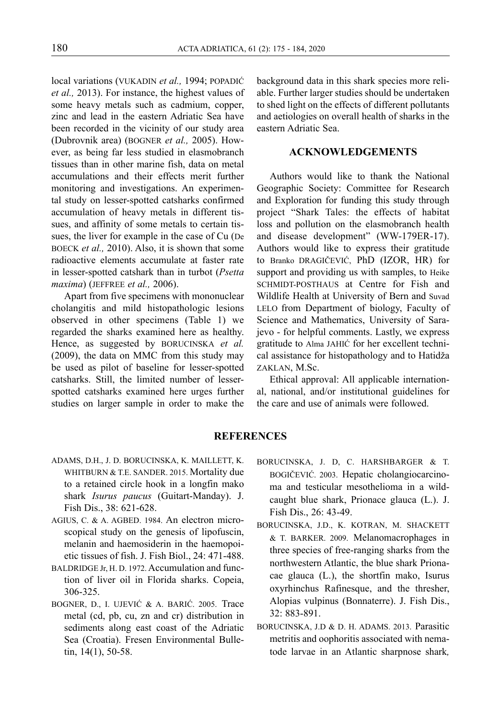local variations (VUKADIN *et al.,* 1994; POPADIĆ *et al.,* 2013). For instance, the highest values of some heavy metals such as cadmium, copper, zinc and lead in the eastern Adriatic Sea have been recorded in the vicinity of our study area (Dubrovnik area) (BOGNER *et al.,* 2005). However, as being far less studied in elasmobranch tissues than in other marine fish, data on metal accumulations and their effects merit further monitoring and investigations. An experimental study on lesser-spotted catsharks confirmed accumulation of heavy metals in different tissues, and affinity of some metals to certain tissues, the liver for example in the case of Cu (De BOECK *et al.,* 2010). Also, it is shown that some radioactive elements accumulate at faster rate in lesser-spotted catshark than in turbot (*Psetta maxima*) (JEFFREE *et al.,* 2006).

Apart from five specimens with mononuclear cholangitis and mild histopathologic lesions observed in other specimens (Table 1) we regarded the sharks examined here as healthy. Hence, as suggested by BORUCINSKA *et al.* (2009), the data on MMC from this study may be used as pilot of baseline for lesser-spotted catsharks. Still, the limited number of lesserspotted catsharks examined here urges further studies on larger sample in order to make the background data in this shark species more reliable. Further larger studies should be undertaken to shed light on the effects of different pollutants and aetiologies on overall health of sharks in the eastern Adriatic Sea.

## **ACKNOWLEDGEMENTS**

Authors would like to thank the National Geographic Society: Committee for Research and Exploration for funding this study through project "Shark Tales: the effects of habitat loss and pollution on the elasmobranch health and disease development" (WW-179ER-17). Authors would like to express their gratitude to Branko DRAGIČEVIĆ, PhD (IZOR, HR) for support and providing us with samples, to Heike SCHMIDT-POSTHAUS at Centre for Fish and Wildlife Health at University of Bern and Suvad LELO from Department of biology, Faculty of Science and Mathematics, University of Sarajevo - for helpful comments. Lastly, we express gratitude to Alma JAHIĆ for her excellent technical assistance for histopathology and to Hatidža ZAKLAN, M.Sc.

Ethical approval: All applicable international, national, and/or institutional guidelines for the care and use of animals were followed.

### **REFERENCES**

- ADAMS, D.H., J. D. BORUCINSKA, K. MAILLETT, K. WHITBURN & T.E. SANDER. 2015. Mortality due to a retained circle hook in a longfin mako shark *Isurus paucus* (Guitart-Manday). J. Fish Dis., 38: 621-628.
- AGIUS, C. & A. AGBED. 1984. An electron microscopical study on the genesis of lipofuscin, melanin and haemosiderin in the haemopoietic tissues of fish. J. Fish Biol., 24: 471-488.
- BALDRIDGE Jr, H. D. 1972. Accumulation and function of liver oil in Florida sharks. Copeia, 306-325.
- BOGNER, D., I. UJEVIĆ & A. BARIĆ. 2005. Trace metal (cd, pb, cu, zn and cr) distribution in sediments along east coast of the Adriatic Sea (Croatia). Fresen Environmental Bulletin, 14(1), 50-58.
- BORUCINSKA, J. D, C. HARSHBARGER & T. BOGIČEVIĆ. 2003. Hepatic cholangiocarcinoma and testicular mesothelioma in a wildcaught blue shark, Prionace glauca (L.). J. Fish Dis., 26: 43-49.
- BORUCINSKA, J.D., K. KOTRAN, M. SHACKETT & T. BARKER. 2009. Melanomacrophages in three species of free-ranging sharks from the northwestern Atlantic, the blue shark Prionacae glauca (L.), the shortfin mako, Isurus oxyrhinchus Rafinesque, and the thresher, Alopias vulpinus (Bonnaterre). J. Fish Dis., 32: 883-891.
- BORUCINSKA, J.D & D. H. ADAMS. 2013. Parasitic metritis and oophoritis associated with nematode larvae in an Atlantic sharpnose shark*,*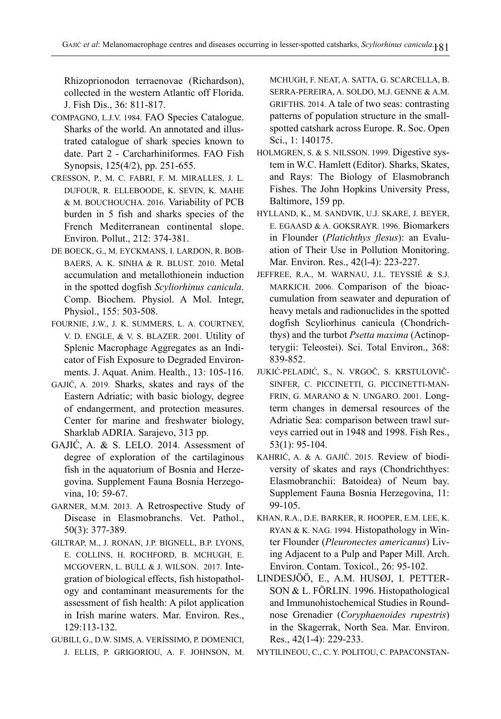Rhizoprionodon terraenovae (Richardson), collected in the western Atlantic off Florida. J. Fish Dis., 36: 811-817.

- COMPAGNO, L.J.V. 1984. FAO Species Catalogue. Sharks of the world. An annotated and illustrated catalogue of shark species known to date. Part 2 - Carcharhiniformes. FAO Fish Synopsis, 125(4/2), pp. 251-655.
- CRESSON, P., M. C. FABRI, F. M. MIRALLES, J. L. DUFOUR, R. ELLEBOODE, K. SEVIN, K. MAHE & M. BOUCHOUCHA. 2016. Variability of PCB burden in 5 fish and sharks species of the French Mediterranean continental slope. Environ. Pollut., 212: 374-381.
- DE BOECK, G., M. EYCKMANS, I. LARDON, R. BOB-BAERS, A. K. SINHA & R. BLUST. 2010. Metal accumulation and metallothionein induction in the spotted dogfish *Scyliorhinus canicula*. Comp. Biochem. Physiol. A Mol. Integr, Physiol., 155: 503-508.
- FOURNIE, J.W., J. K. SUMMERS, L. A. COURTNEY, V. D. ENGLE, & V. S. BLAZER. 2001. Utility of Splenic Macrophage Aggregates as an Indicator of Fish Exposure to Degraded Environments. J. Aquat. Anim. Health., 13: 105-116.
- GAJIĆ, A. 2019. Sharks, skates and rays of the Eastern Adriatic; with basic biology, degree of endangerment, and protection measures. Center for marine and freshwater biology, Sharklab ADRIA. Sarajevo, 313 pp.
- GAJIĆ, A. & S. LELO. 2014. Assessment of degree of exploration of the cartilaginous fish in the aquatorium of Bosnia and Herzegovina. Supplement Fauna Bosnia Herzegovina, 10: 59-67.
- GARNER, M.M. 2013. A Retrospective Study of Disease in Elasmobranchs. Vet. Pathol., 50(3): 377-389.
- GILTRAP, M., J. RONAN, J.P. BIGNELL, B.P. LYONS, E. COLLINS, H. ROCHFORD, B. MCHUGH, E. MCGOVERN, L. BULL & J. WILSON. 2017. Integration of biological effects, fish histopathology and contaminant measurements for the assessment of fish health: A pilot application in Irish marine waters. Mar. Environ. Res., 129:113-132.
- GUBILI, G., D.W. SIMS, A. VERÍSSIMO, P. DOMENICI, J. ELLIS, P. GRIGORIOU, A. F. JOHNSON, M.

MCHUGH, F. NEAT, A. SATTA, G. SCARCELLA, B. SERRA-PEREIRA, A. SOLDO, M.J. GENNE & A.M. GRIFTHS. 2014. A tale of two seas: contrasting patterns of population structure in the smallspotted catshark across Europe. R. Soc. Open Sci., 1: 140175.

- HOLMGREN, S. & S. NILSSON. 1999. Digestive system in W.C. Hamlett (Editor). Sharks, Skates, and Rays: The Biology of Elasmobranch Fishes. The John Hopkins University Press, Baltimore, 159 pp.
- HYLLAND, K., M. SANDVIK, U.J. SKARE, J. BEYER, E. EGAASD & A. GOKSRAYR. 1996. Biomarkers in Flounder (*Platichthys flesus*): an Evaluation of Their Use in Pollution Monitoring. Mar. Environ. Res., 42(l-4): 223-227.
- JEFFREE, R.A., M. WARNAU, J.L. TEYSSIÉ & S.J. MARKICH. 2006. Comparison of the bioaccumulation from seawater and depuration of heavy metals and radionuclides in the spotted dogfish Scyliorhinus canicula (Chondrichthys) and the turbot *Psetta maxima* (Actinopterygii: Teleostei). Sci. Total Environ., 368: 839-852.
- JUKIĆ-PELADIĆ, S., N. VRGOČ, S. KRSTULOVIČ-SINFER, C. PICCINETTI, G. PICCINETTI-MAN-FRIN, G. MARANO & N. UNGARO. 2001. Longterm changes in demersal resources of the Adriatic Sea: comparison between trawl surveys carried out in 1948 and 1998. Fish Res., 53(1): 95-104.
- KAHRIĆ, A. & A. GAJIĆ. 2015. Review of biodiversity of skates and rays (Chondrichthyes: Elasmobranchii: Batoidea) of Neum bay. Supplement Fauna Bosnia Herzegovina, 11: 99-105.
- KHAN, R.A., D.E. BARKER, R. HOOPER, E.M. LEE, K. RYAN & K. NAG. 1994. Histopathology in Winter Flounder (*Pleuronectes americanus*) Living Adjacent to a Pulp and Paper Mill. Arch. Environ. Contam. Toxicol., 26: 95-102.
- LINDESJÖÖ, E., A.M. HUSØJ, I. PETTER-SON & L. FÖRLIN. 1996. Histopathological and Immunohistochemical Studies in Roundnose Grenadier (*Coryphaenoides rupestris*) in the Skagerrak, North Sea. Mar. Environ. Res., 42(1-4): 229-233.

MYTILINEOU, C., C. Y. POLITOU, C. PAPACONSTAN-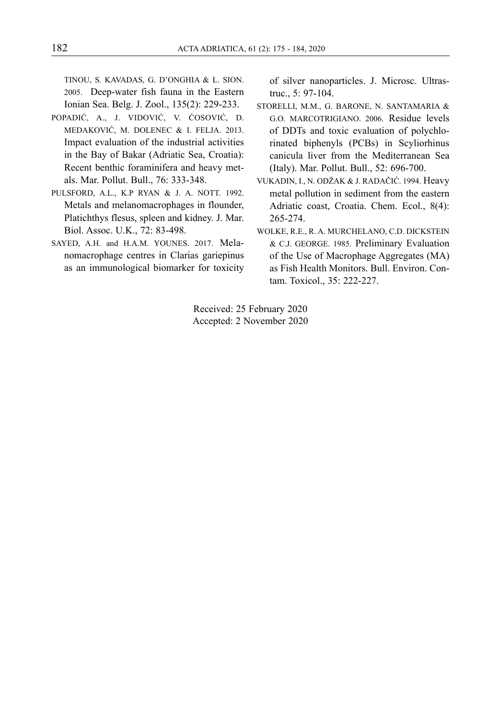TINOU, S. KAVADAS, G. D'ONGHIA & L. SION. 2005. Deep-water fish fauna in the Eastern Ionian Sea. Belg. J. Zool., 135(2): 229-233.

- POPADIĆ, A., J. VIDOVIĆ, V. ĆOSOVIĆ, D. MEDAKOVIĆ, M. DOLENEC & I. FELJA. 2013. Impact evaluation of the industrial activities in the Bay of Bakar (Adriatic Sea, Croatia): Recent benthic foraminifera and heavy metals. Mar. Pollut. Bull., 76: 333-348.
- PULSFORD, A.L., K.P RYAN & J. A. NOTT. 1992. Metals and melanomacrophages in flounder, Platichthys flesus, spleen and kidney. J. Mar. Biol. Assoc. U.K., 72: 83-498.
- SAYED, A.H. and H.A.M. YOUNES. 2017. Melanomacrophage centres in Clarias gariepinus as an immunological biomarker for toxicity

of silver nanoparticles. J. Microsc. Ultrastruc., 5: 97-104.

- STORELLI, M.M., G. BARONE, N. SANTAMARIA & G.O. MARCOTRIGIANO. 2006. Residue levels of DDTs and toxic evaluation of polychlorinated biphenyls (PCBs) in Scyliorhinus canicula liver from the Mediterranean Sea (Italy). Mar. Pollut. Bull., 52: 696-700.
- VUKADIN, I., N. ODŽAK & J. RADAČIĆ. 1994. Heavy metal pollution in sediment from the eastern Adriatic coast, Croatia. Chem. Ecol., 8(4): 265-274.
- WOLKE, R.E., R. A. MURCHELANO, C.D. DICKSTEIN & C.J. GEORGE. 1985. Preliminary Evaluation of the Use of Macrophage Aggregates (MA) as Fish Health Monitors. Bull. Environ. Contam. Toxicol., 35: 222-227.

Received: 25 February 2020 Accepted: 2 November 2020